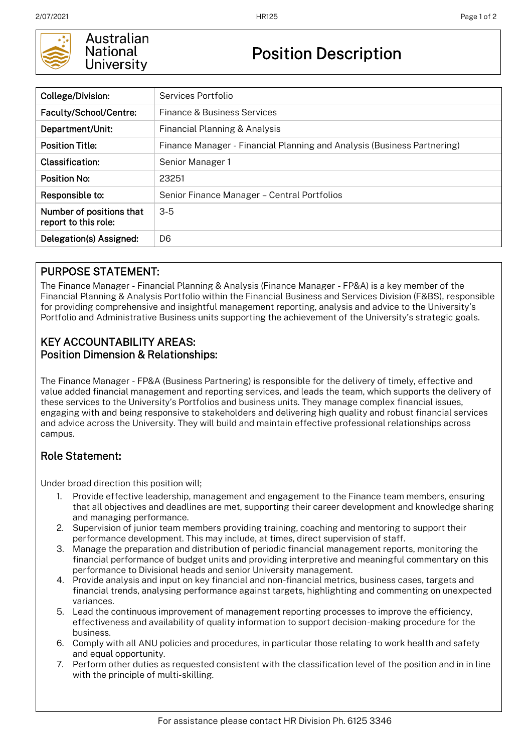

Australian **National** University

# Position Description

| College/Division:                                | Services Portfolio                                                      |  |  |
|--------------------------------------------------|-------------------------------------------------------------------------|--|--|
| Faculty/School/Centre:                           | Finance & Business Services                                             |  |  |
| Department/Unit:                                 | Financial Planning & Analysis                                           |  |  |
| <b>Position Title:</b>                           | Finance Manager - Financial Planning and Analysis (Business Partnering) |  |  |
| Classification:                                  | Senior Manager 1                                                        |  |  |
| <b>Position No:</b>                              | 23251                                                                   |  |  |
| Responsible to:                                  | Senior Finance Manager - Central Portfolios                             |  |  |
| Number of positions that<br>report to this role: | $3-5$                                                                   |  |  |
| Delegation(s) Assigned:                          | D <sub>6</sub>                                                          |  |  |

### PURPOSE STATEMENT:

The Finance Manager - Financial Planning & Analysis (Finance Manager - FP&A) is a key member of the Financial Planning & Analysis Portfolio within the Financial Business and Services Division (F&BS), responsible for providing comprehensive and insightful management reporting, analysis and advice to the University's Portfolio and Administrative Business units supporting the achievement of the University's strategic goals.

#### KEY ACCOUNTABILITY AREAS: Position Dimension & Relationships:

The Finance Manager - FP&A (Business Partnering) is responsible for the delivery of timely, effective and value added financial management and reporting services, and leads the team, which supports the delivery of these services to the University's Portfolios and business units. They manage complex financial issues, engaging with and being responsive to stakeholders and delivering high quality and robust financial services and advice across the University. They will build and maintain effective professional relationships across campus.

## Role Statement:

Under broad direction this position will;

- 1. Provide effective leadership, management and engagement to the Finance team members, ensuring that all objectives and deadlines are met, supporting their career development and knowledge sharing and managing performance.
- 2. Supervision of junior team members providing training, coaching and mentoring to support their performance development. This may include, at times, direct supervision of staff.
- 3. Manage the preparation and distribution of periodic financial management reports, monitoring the financial performance of budget units and providing interpretive and meaningful commentary on this performance to Divisional heads and senior University management.
- 4. Provide analysis and input on key financial and non-financial metrics, business cases, targets and financial trends, analysing performance against targets, highlighting and commenting on unexpected variances.
- 5. Lead the continuous improvement of management reporting processes to improve the efficiency, effectiveness and availability of quality information to support decision-making procedure for the business.
- 6. Comply with all ANU policies and procedures, in particular those relating to work health and safety and equal opportunity.
- 7. Perform other duties as requested consistent with the classification level of the position and in in line with the principle of multi-skilling.